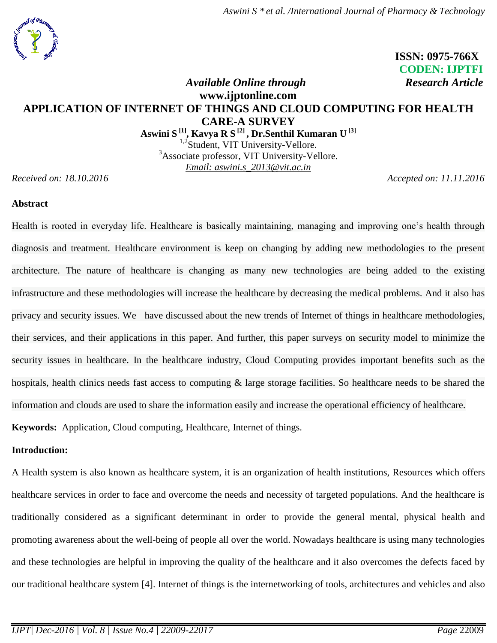*Aswini S \* et al. /International Journal of Pharmacy & Technology*



 **ISSN: 0975-766X CODEN: IJPTFI** *Available Online through* Research Article

# **www.ijptonline.com APPLICATION OF INTERNET OF THINGS AND CLOUD COMPUTING FOR HEALTH CARE-A SURVEY**

**Aswini S [1] , Kavya R S [2] , Dr.Senthil Kumaran U [3]**

<sup>1,2</sup>Student, VIT University-Vellore. <sup>3</sup>Associate professor, VIT University-Vellore. *Email: aswini.s\_2013@vit.ac.in*

*Received on: 18.10.2016 Accepted on: 11.11.2016*

# **Abstract**

Health is rooted in everyday life. Healthcare is basically maintaining, managing and improving one's health through diagnosis and treatment. Healthcare environment is keep on changing by adding new methodologies to the present architecture. The nature of healthcare is changing as many new technologies are being added to the existing infrastructure and these methodologies will increase the healthcare by decreasing the medical problems. And it also has privacy and security issues. We have discussed about the new trends of Internet of things in healthcare methodologies, their services, and their applications in this paper. And further, this paper surveys on security model to minimize the security issues in healthcare. In the healthcare industry, Cloud Computing provides important benefits such as the hospitals, health clinics needs fast access to computing & large storage facilities. So healthcare needs to be shared the information and clouds are used to share the information easily and increase the operational efficiency of healthcare.

**Keywords:** Application, Cloud computing, Healthcare, Internet of things.

# **Introduction:**

A Health system is also known as healthcare system, it is an organization of health institutions, Resources which offers healthcare services in order to face and overcome the needs and necessity of targeted populations. And the healthcare is traditionally considered as a significant determinant in order to provide the general mental, physical health and promoting awareness about the well-being of people all over the world. Nowadays healthcare is using many technologies and these technologies are helpful in improving the quality of the healthcare and it also overcomes the defects faced by our traditional healthcare system [4]. Internet of things is the internetworking of tools, architectures and vehicles and also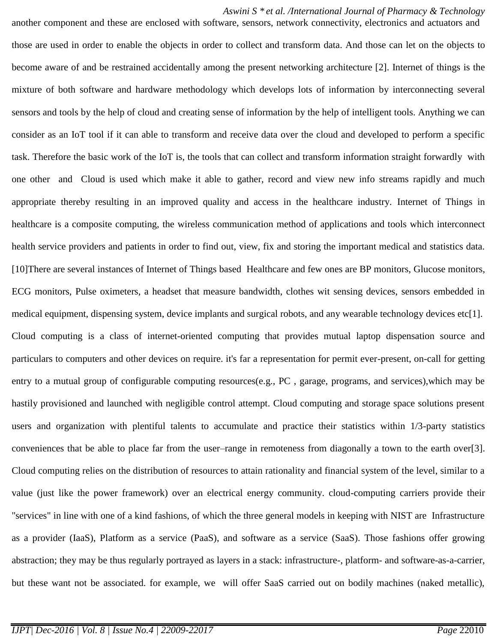*Aswini S \* et al. /International Journal of Pharmacy & Technology*

another component and these are enclosed with software, sensors, network connectivity, electronics and actuators and those are used in order to enable the objects in order to collect and transform data. And those can let on the objects to become aware of and be restrained accidentally among the present networking architecture [2]. Internet of things is the mixture of both software and hardware methodology which develops lots of information by interconnecting several sensors and tools by the help of cloud and creating sense of information by the help of intelligent tools. Anything we can consider as an IoT tool if it can able to transform and receive data over the cloud and developed to perform a specific task. Therefore the basic work of the IoT is, the tools that can collect and transform information straight forwardly with one other and Cloud is used which make it able to gather, record and view new info streams rapidly and much appropriate thereby resulting in an improved quality and access in the healthcare industry. Internet of Things in healthcare is a composite computing, the wireless communication method of applications and tools which interconnect health service providers and patients in order to find out, view, fix and storing the important medical and statistics data. [10]There are several instances of Internet of Things based Healthcare and few ones are BP monitors, Glucose monitors, ECG monitors, Pulse oximeters, a headset that measure bandwidth, clothes wit sensing devices, sensors embedded in medical equipment, dispensing system, device implants and surgical robots, and any wearable technology devices etc[1]. Cloud computing is a class of internet-oriented computing that provides mutual laptop dispensation source and particulars to computers and other devices on require. it's far a representation for permit ever-present, on-call for getting entry to a mutual group of configurable computing resources(e.g., PC , garage, programs, and services),which may be hastily provisioned and launched with negligible control attempt. Cloud computing and storage space solutions present users and organization with plentiful talents to accumulate and practice their statistics within 1/3-party statistics conveniences that be able to place far from the user–range in remoteness from diagonally a town to the earth over[3]. Cloud computing relies on the distribution of resources to attain rationality and financial system of the level, similar to a value (just like the power framework) over an electrical energy community. cloud-computing carriers provide their "services" in line with one of a kind fashions, of which the three general models in keeping with NIST are Infrastructure as a provider (IaaS), Platform as a service (PaaS), and software as a service (SaaS). Those fashions offer growing abstraction; they may be thus regularly portrayed as layers in a stack: infrastructure-, platform- and software-as-a-carrier, but these want not be associated. for example, we will offer SaaS carried out on bodily machines (naked metallic),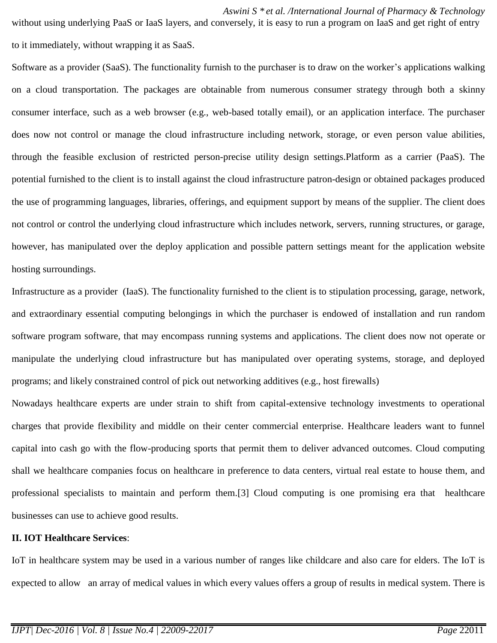without using underlying PaaS or IaaS layers, and conversely, it is easy to run a program on IaaS and get right of entry to it immediately, without wrapping it as SaaS.

Software as a provider (SaaS). The functionality furnish to the purchaser is to draw on the worker's applications walking on a cloud transportation. The packages are obtainable from numerous consumer strategy through both a skinny consumer interface, such as a web browser (e.g., web-based totally email), or an application interface. The purchaser does now not control or manage the cloud infrastructure including network, storage, or even person value abilities, through the feasible exclusion of restricted person-precise utility design settings.Platform as a carrier (PaaS). The potential furnished to the client is to install against the cloud infrastructure patron-design or obtained packages produced the use of programming languages, libraries, offerings, and equipment support by means of the supplier. The client does not control or control the underlying cloud infrastructure which includes network, servers, running structures, or garage, however, has manipulated over the deploy application and possible pattern settings meant for the application website hosting surroundings.

Infrastructure as a provider (IaaS). The functionality furnished to the client is to stipulation processing, garage, network, and extraordinary essential computing belongings in which the purchaser is endowed of installation and run random software program software, that may encompass running systems and applications. The client does now not operate or manipulate the underlying cloud infrastructure but has manipulated over operating systems, storage, and deployed programs; and likely constrained control of pick out networking additives (e.g., host firewalls)

Nowadays healthcare experts are under strain to shift from capital-extensive technology investments to operational charges that provide flexibility and middle on their center commercial enterprise. Healthcare leaders want to funnel capital into cash go with the flow-producing sports that permit them to deliver advanced outcomes. Cloud computing shall we healthcare companies focus on healthcare in preference to data centers, virtual real estate to house them, and professional specialists to maintain and perform them.[3] Cloud computing is one promising era that healthcare businesses can use to achieve good results.

## **II. IOT Healthcare Services**:

IoT in healthcare system may be used in a various number of ranges like childcare and also care for elders. The IoT is expected to allow an array of medical values in which every values offers a group of results in medical system. There is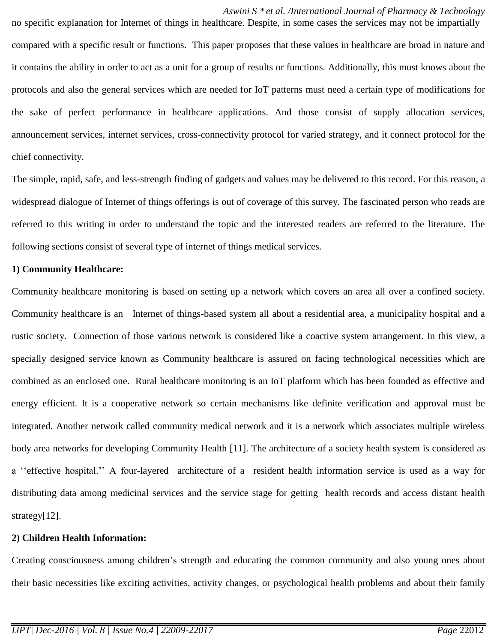*Aswini S \* et al. /International Journal of Pharmacy & Technology* no specific explanation for Internet of things in healthcare. Despite, in some cases the services may not be impartially compared with a specific result or functions. This paper proposes that these values in healthcare are broad in nature and it contains the ability in order to act as a unit for a group of results or functions. Additionally, this must knows about the protocols and also the general services which are needed for IoT patterns must need a certain type of modifications for the sake of perfect performance in healthcare applications. And those consist of supply allocation services, announcement services, internet services, cross-connectivity protocol for varied strategy, and it connect protocol for the chief connectivity.

The simple, rapid, safe, and less-strength finding of gadgets and values may be delivered to this record. For this reason, a widespread dialogue of Internet of things offerings is out of coverage of this survey. The fascinated person who reads are referred to this writing in order to understand the topic and the interested readers are referred to the literature. The following sections consist of several type of internet of things medical services.

### **1) Community Healthcare:**

Community healthcare monitoring is based on setting up a network which covers an area all over a confined society. Community healthcare is an Internet of things-based system all about a residential area, a municipality hospital and a rustic society. Connection of those various network is considered like a coactive system arrangement. In this view, a specially designed service known as Community healthcare is assured on facing technological necessities which are combined as an enclosed one. Rural healthcare monitoring is an IoT platform which has been founded as effective and energy efficient. It is a cooperative network so certain mechanisms like definite verification and approval must be integrated. Another network called community medical network and it is a network which associates multiple wireless body area networks for developing Community Health [11]. The architecture of a society health system is considered as a ''effective hospital.'' A four-layered architecture of a resident health information service is used as a way for distributing data among medicinal services and the service stage for getting health records and access distant health strategy[12].

## **2) Children Health Information:**

Creating consciousness among children's strength and educating the common community and also young ones about their basic necessities like exciting activities, activity changes, or psychological health problems and about their family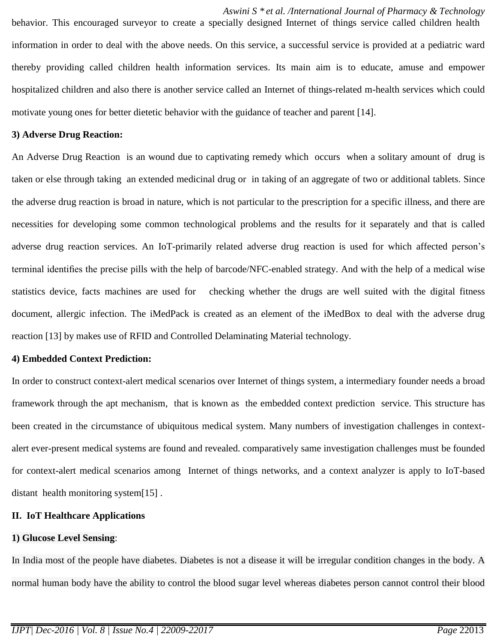*Aswini S \* et al. /International Journal of Pharmacy & Technology* behavior. This encouraged surveyor to create a specially designed Internet of things service called children health information in order to deal with the above needs. On this service, a successful service is provided at a pediatric ward thereby providing called children health information services. Its main aim is to educate, amuse and empower hospitalized children and also there is another service called an Internet of things-related m-health services which could motivate young ones for better dietetic behavior with the guidance of teacher and parent [14].

### **3) Adverse Drug Reaction:**

An Adverse Drug Reaction is an wound due to captivating remedy which occurs when a solitary amount of drug is taken or else through taking an extended medicinal drug or in taking of an aggregate of two or additional tablets. Since the adverse drug reaction is broad in nature, which is not particular to the prescription for a specific illness, and there are necessities for developing some common technological problems and the results for it separately and that is called adverse drug reaction services. An IoT-primarily related adverse drug reaction is used for which affected person's terminal identifies the precise pills with the help of barcode/NFC-enabled strategy. And with the help of a medical wise statistics device, facts machines are used for checking whether the drugs are well suited with the digital fitness document, allergic infection. The iMedPack is created as an element of the iMedBox to deal with the adverse drug reaction [13] by makes use of RFID and Controlled Delaminating Material technology.

#### **4) Embedded Context Prediction:**

In order to construct context-alert medical scenarios over Internet of things system, a intermediary founder needs a broad framework through the apt mechanism, that is known as the embedded context prediction service. This structure has been created in the circumstance of ubiquitous medical system. Many numbers of investigation challenges in contextalert ever-present medical systems are found and revealed. comparatively same investigation challenges must be founded for context-alert medical scenarios among Internet of things networks, and a context analyzer is apply to IoT-based distant health monitoring system[15] .

### **II. IoT Healthcare Applications**

### **1) Glucose Level Sensing**:

In India most of the people have diabetes. Diabetes is not a disease it will be irregular condition changes in the body. A normal human body have the ability to control the blood sugar level whereas diabetes person cannot control their blood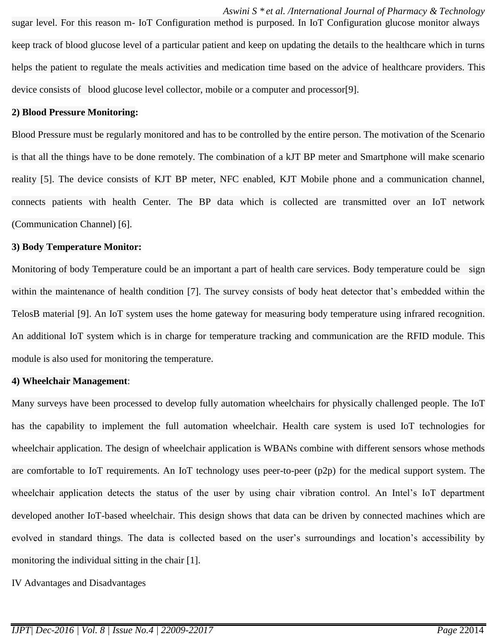*Aswini S \* et al. /International Journal of Pharmacy & Technology* sugar level. For this reason m- IoT Configuration method is purposed. In IoT Configuration glucose monitor always keep track of blood glucose level of a particular patient and keep on updating the details to the healthcare which in turns helps the patient to regulate the meals activities and medication time based on the advice of healthcare providers. This device consists of blood glucose level collector, mobile or a computer and processor[9].

#### **2) Blood Pressure Monitoring:**

Blood Pressure must be regularly monitored and has to be controlled by the entire person. The motivation of the Scenario is that all the things have to be done remotely. The combination of a kJT BP meter and Smartphone will make scenario reality [5]. The device consists of KJT BP meter, NFC enabled, KJT Mobile phone and a communication channel, connects patients with health Center. The BP data which is collected are transmitted over an IoT network (Communication Channel) [6].

#### **3) Body Temperature Monitor:**

Monitoring of body Temperature could be an important a part of health care services. Body temperature could be sign within the maintenance of health condition [7]. The survey consists of body heat detector that's embedded within the TelosB material [9]. An IoT system uses the home gateway for measuring body temperature using infrared recognition. An additional IoT system which is in charge for temperature tracking and communication are the RFID module. This module is also used for monitoring the temperature.

### **4) Wheelchair Management**:

Many surveys have been processed to develop fully automation wheelchairs for physically challenged people. The IoT has the capability to implement the full automation wheelchair. Health care system is used IoT technologies for wheelchair application. The design of wheelchair application is WBANs combine with different sensors whose methods are comfortable to IoT requirements. An IoT technology uses peer-to-peer (p2p) for the medical support system. The wheelchair application detects the status of the user by using chair vibration control. An Intel's IoT department developed another IoT-based wheelchair. This design shows that data can be driven by connected machines which are evolved in standard things. The data is collected based on the user's surroundings and location's accessibility by monitoring the individual sitting in the chair [1].

IV Advantages and Disadvantages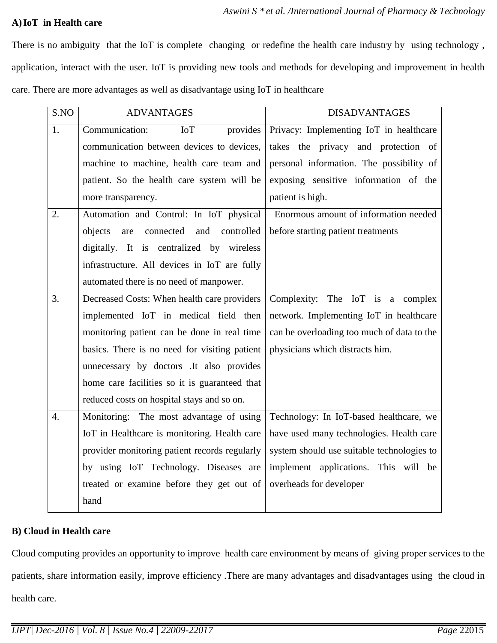# **A)IoT in Health care**

There is no ambiguity that the IoT is complete changing or redefine the health care industry by using technology , application, interact with the user. IoT is providing new tools and methods for developing and improvement in health care. There are more advantages as well as disadvantage using IoT in healthcare

| S.NO | <b>ADVANTAGES</b>                             | <b>DISADVANTAGES</b>                       |
|------|-----------------------------------------------|--------------------------------------------|
| 1.   | Communication:<br>provides<br><b>IoT</b>      | Privacy: Implementing IoT in healthcare    |
|      | communication between devices to devices,     | takes the privacy and protection of        |
|      | machine to machine, health care team and      | personal information. The possibility of   |
|      | patient. So the health care system will be    | exposing sensitive information of the      |
|      | more transparency.                            | patient is high.                           |
| 2.   | Automation and Control: In IoT physical       | Enormous amount of information needed      |
|      | objects<br>connected and<br>controlled<br>are | before starting patient treatments         |
|      | digitally. It is centralized by wireless      |                                            |
|      | infrastructure. All devices in IoT are fully  |                                            |
|      | automated there is no need of manpower.       |                                            |
| 3.   | Decreased Costs: When health care providers   | Complexity: The IoT is a complex           |
|      | implemented IoT in medical field then         | network. Implementing IoT in healthcare    |
|      | monitoring patient can be done in real time   | can be overloading too much of data to the |
|      | basics. There is no need for visiting patient | physicians which distracts him.            |
|      | unnecessary by doctors .It also provides      |                                            |
|      | home care facilities so it is guaranteed that |                                            |
|      | reduced costs on hospital stays and so on.    |                                            |
| 4.   | Monitoring: The most advantage of using       | Technology: In IoT-based healthcare, we    |
|      | IoT in Healthcare is monitoring. Health care  | have used many technologies. Health care   |
|      | provider monitoring patient records regularly | system should use suitable technologies to |
|      | by using IoT Technology. Diseases are         | implement applications. This will be       |
|      | treated or examine before they get out of     | overheads for developer                    |
|      | hand                                          |                                            |

# **B) Cloud in Health care**

Cloud computing provides an opportunity to improve health care environment by means of giving proper services to the patients, share information easily, improve efficiency .There are many advantages and disadvantages using the cloud in health care.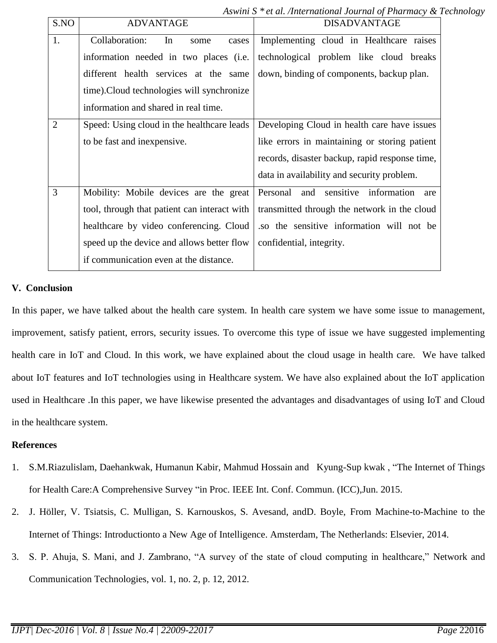*Aswini S \* et al. /International Journal of Pharmacy & Technology*

| S.NO           | <b>ADVANTAGE</b>                             | <b>DISADVANTAGE</b>                             |
|----------------|----------------------------------------------|-------------------------------------------------|
| 1.             | Collaboration:<br>In<br>cases<br>some        | Implementing cloud in Healthcare raises         |
|                | information needed in two places (i.e.       | technological problem like cloud breaks         |
|                | different health services at the same        | down, binding of components, backup plan.       |
|                | time). Cloud technologies will synchronize   |                                                 |
|                | information and shared in real time.         |                                                 |
| $\overline{2}$ | Speed: Using cloud in the healthcare leads   | Developing Cloud in health care have issues     |
|                | to be fast and inexpensive.                  | like errors in maintaining or storing patient   |
|                |                                              | records, disaster backup, rapid response time,  |
|                |                                              | data in availability and security problem.      |
| 3              | Mobility: Mobile devices are the great       | sensitive information<br>Personal<br>and<br>are |
|                | tool, through that patient can interact with | transmitted through the network in the cloud    |
|                | healthcare by video conferencing. Cloud      | so the sensitive information will not be        |
|                | speed up the device and allows better flow   | confidential, integrity.                        |
|                | if communication even at the distance.       |                                                 |

# **V. Conclusion**

In this paper, we have talked about the health care system. In health care system we have some issue to management, improvement, satisfy patient, errors, security issues. To overcome this type of issue we have suggested implementing health care in IoT and Cloud. In this work, we have explained about the cloud usage in health care. We have talked about IoT features and IoT technologies using in Healthcare system. We have also explained about the IoT application used in Healthcare .In this paper, we have likewise presented the advantages and disadvantages of using IoT and Cloud in the healthcare system.

## **References**

- 1. S.M.Riazulislam, Daehankwak, Humanun Kabir, Mahmud Hossain and Kyung-Sup kwak , "The Internet of Things for Health Care:A Comprehensive Survey "in Proc. IEEE Int. Conf. Commun. (ICC),Jun. 2015.
- 2. J. Höller, V. Tsiatsis, C. Mulligan, S. Karnouskos, S. Avesand, andD. Boyle, From Machine-to-Machine to the Internet of Things: Introductionto a New Age of Intelligence. Amsterdam, The Netherlands: Elsevier, 2014.
- 3. S. P. Ahuja, S. Mani, and J. Zambrano, "A survey of the state of cloud computing in healthcare," Network and Communication Technologies, vol. 1, no. 2, p. 12, 2012.